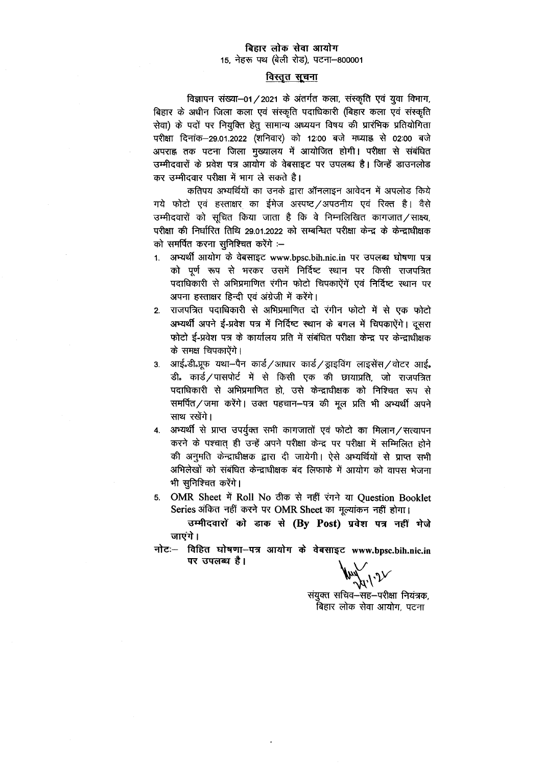## बिहार लोक सेवा आयोग 15, नेहरू पथ (बेली रोड), पटना-800001

## विस्तृत सूचना

विज्ञापन संख्या-01/2021 के अंतर्गत कला, संस्कृति एवं युवा विभाग, बिहार के अधीन जिला कला एवं संस्कृति पदाधिकारी (बिहार कला एवं संस्कृति सेवा) के पदों पर नियुक्ति हेतु सामान्य अध्ययन विषय की प्रारंभिक प्रतियोगिता परीक्षा दिनांक-29.01.2022 (शनिवार) को 12:00 बजे मध्याह्न से 02:00 बजे अपराह्न तक पटना जिला मुख्यालय में आयोजित होगी। परीक्षा से संबंधित उम्मीदवारों के प्रवेश पत्र आयोग के वेबसाइट पर उपलब्ध है। जिन्हें डाउनलोड कर उम्मीदवार परीक्षा में भाग ले सकते है।

कतिपय अभ्यर्थियों का उनके द्वारा ऑनलाइन आवेदन में अपलोड किये गये फोटो एवं हस्ताक्षर का ईमेज अस्पष्ट/अपठनीय एवं रिक्त है। वैसे उम्मीदवारों को सूचित किया जाता है कि वे निम्नलिखित कागजात/साक्ष्य, परीक्षा की निर्धारित तिथि 29.01.2022 को सम्बन्धित परीक्षा केन्द्र के केन्द्राधीक्षक को समर्पित करना सुनिश्चित करेंगे :--

- 1. अभ्यर्थी आयोग के वेबसाइट www.bpsc.bih.nic.in पर उपलब्ध घोषणा पत्र को पूर्ण रूप से भरकर उसमें निर्दिष्ट स्थान पर किसी राजपत्रित पदाधिकारी से अभिप्रमाणित रंगीन फोटो चिपकाऐंगें एवं निर्दिष्ट स्थान पर अपना हस्ताक्षर हिन्दी एवं अंग्रेजी में करेंगे।
- 2. राजपत्रित पदाधिकारी से अभिप्रमाणित दो रंगीन फोटो में से एक फोटो अभ्यर्थी अपने ई-प्रवेश पत्र में निर्दिष्ट स्थान के बगल में चिपकाऐंगे। दूसरा फोटो ई-प्रवेश पत्र के कार्यालय प्रति में संबंधित परीक्षा केन्द्र पर केन्द्राधीक्षक के समक्ष चिपकाऐंगे।
- 3. आई.डी.प्रूफ यथा-पैन कार्ड/आधार कार्ड/ड्राइविंग लाइसेंस/वोटर आई. डी. कार्ड/पासपोर्ट में से किसी एक की छायाप्रति, जो राजपत्रित पदाधिकारी से अभिप्रमाणित हो, उसे केन्द्राधीक्षक को निश्चित रूप से समर्पित/जमा करेंगे। उक्त पहचान–पत्र की मूल प्रति भी अभ्यर्थी अपने साथ रखेंगे।
- 4. अभ्यर्थी से प्राप्त उपर्युक्त सभी कागजातों एवं फोटो का मिलान/सत्यापन करने के पश्चात् ही उन्हें अपने परीक्षा केन्द्र पर परीक्षा में सम्मिलित होने की अनुमति केन्द्राधीक्षक द्वारा दी जायेगी। ऐसे अभ्यर्थियों से प्राप्त सभी अभिलेखों को संबंधित केन्द्राधीक्षक बंद लिफाफे में आयोग को वापस भेजना भी सुनिश्चित करेंगे।
- 5. OMR Sheet में Roll No ठीक से नहीं रंगने या Question Booklet Series अंकित नहीं करने पर OMR Sheet का मुल्यांकन नहीं होगा।

उम्मीदवारों को डाक से (By Post) प्रवेश पत्र नहीं भेजे जाएंगे।

नोटः- विहित घोषणा-पत्र आयोग के वेबसाइट www.bpsc.bih.nic.in पर उपलब्ध है।

संयुक्त सचिव-सह-परीक्षा नियंत्रक, बिहार लोक सेवा आयोग, पटना